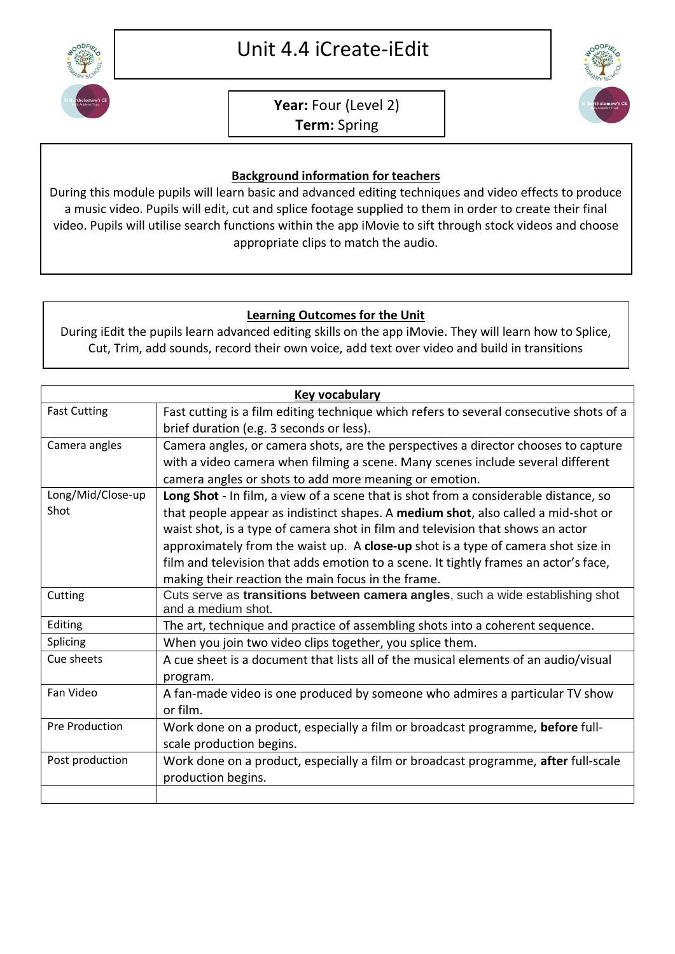

## **Year:** Four (Level 2) **Term:** Spring



## **Background information for teachers**

During this module pupils will learn basic and advanced editing techniques and video effects to produce a music video. Pupils will edit, cut and splice footage supplied to them in order to create their final video. Pupils will utilise search functions within the app iMovie to sift through stock videos and choose appropriate clips to match the audio.

## **Learning Outcomes for the Unit**

During iEdit the pupils learn advanced editing skills on the app iMovie. They will learn how to Splice, Cut, Trim, add sounds, record their own voice, add text over video and build in transitions

| <b>Key vocabulary</b>     |                                                                                                                                                                                                                                                                                                                                                                                                                                                                                                 |
|---------------------------|-------------------------------------------------------------------------------------------------------------------------------------------------------------------------------------------------------------------------------------------------------------------------------------------------------------------------------------------------------------------------------------------------------------------------------------------------------------------------------------------------|
| <b>Fast Cutting</b>       | Fast cutting is a film editing technique which refers to several consecutive shots of a<br>brief duration (e.g. 3 seconds or less).                                                                                                                                                                                                                                                                                                                                                             |
| Camera angles             | Camera angles, or camera shots, are the perspectives a director chooses to capture<br>with a video camera when filming a scene. Many scenes include several different<br>camera angles or shots to add more meaning or emotion.                                                                                                                                                                                                                                                                 |
| Long/Mid/Close-up<br>Shot | Long Shot - In film, a view of a scene that is shot from a considerable distance, so<br>that people appear as indistinct shapes. A medium shot, also called a mid-shot or<br>waist shot, is a type of camera shot in film and television that shows an actor<br>approximately from the waist up. A close-up shot is a type of camera shot size in<br>film and television that adds emotion to a scene. It tightly frames an actor's face,<br>making their reaction the main focus in the frame. |
| Cutting                   | Cuts serve as transitions between camera angles, such a wide establishing shot<br>and a medium shot.                                                                                                                                                                                                                                                                                                                                                                                            |
| Editing                   | The art, technique and practice of assembling shots into a coherent sequence.                                                                                                                                                                                                                                                                                                                                                                                                                   |
| Splicing                  | When you join two video clips together, you splice them.                                                                                                                                                                                                                                                                                                                                                                                                                                        |
| Cue sheets                | A cue sheet is a document that lists all of the musical elements of an audio/visual<br>program.                                                                                                                                                                                                                                                                                                                                                                                                 |
| Fan Video                 | A fan-made video is one produced by someone who admires a particular TV show<br>or film.                                                                                                                                                                                                                                                                                                                                                                                                        |
| <b>Pre Production</b>     | Work done on a product, especially a film or broadcast programme, before full-<br>scale production begins.                                                                                                                                                                                                                                                                                                                                                                                      |
| Post production           | Work done on a product, especially a film or broadcast programme, after full-scale<br>production begins.                                                                                                                                                                                                                                                                                                                                                                                        |
|                           |                                                                                                                                                                                                                                                                                                                                                                                                                                                                                                 |